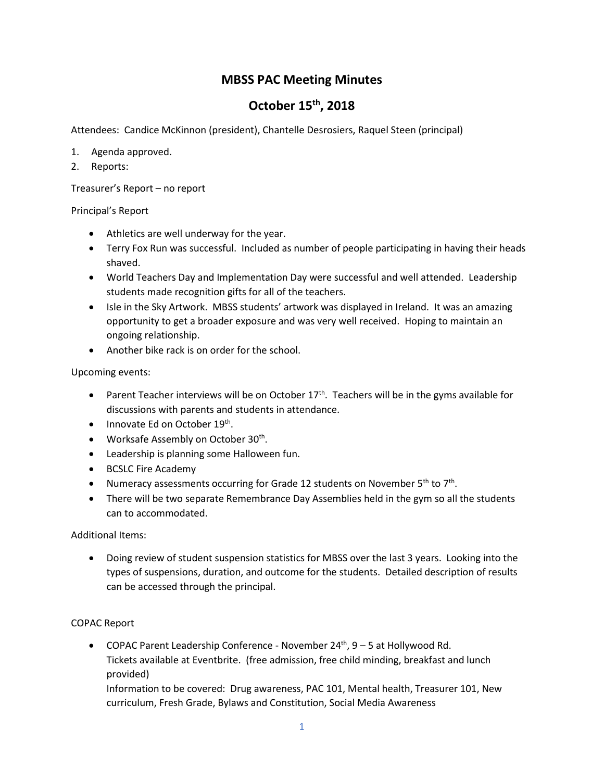## **MBSS PAC Meeting Minutes**

## **October 15th, 2018**

Attendees: Candice McKinnon (president), Chantelle Desrosiers, Raquel Steen (principal)

- 1. Agenda approved.
- 2. Reports:

Treasurer's Report – no report

Principal's Report

- Athletics are well underway for the year.
- Terry Fox Run was successful. Included as number of people participating in having their heads shaved.
- World Teachers Day and Implementation Day were successful and well attended. Leadership students made recognition gifts for all of the teachers.
- Isle in the Sky Artwork. MBSS students' artwork was displayed in Ireland. It was an amazing opportunity to get a broader exposure and was very well received. Hoping to maintain an ongoing relationship.
- Another bike rack is on order for the school.

Upcoming events:

- Parent Teacher interviews will be on October  $17<sup>th</sup>$ . Teachers will be in the gyms available for discussions with parents and students in attendance.
- Innovate Ed on October 19<sup>th</sup>.
- Worksafe Assembly on October 30<sup>th</sup>.
- Leadership is planning some Halloween fun.
- BCSLC Fire Academy
- Numeracy assessments occurring for Grade 12 students on November  $5<sup>th</sup>$  to  $7<sup>th</sup>$ .
- There will be two separate Remembrance Day Assemblies held in the gym so all the students can to accommodated.

Additional Items:

• Doing review of student suspension statistics for MBSS over the last 3 years. Looking into the types of suspensions, duration, and outcome for the students. Detailed description of results can be accessed through the principal.

## COPAC Report

• COPAC Parent Leadership Conference - November  $24<sup>th</sup>$ ,  $9-5$  at Hollywood Rd. Tickets available at Eventbrite. (free admission, free child minding, breakfast and lunch provided)

Information to be covered: Drug awareness, PAC 101, Mental health, Treasurer 101, New curriculum, Fresh Grade, Bylaws and Constitution, Social Media Awareness